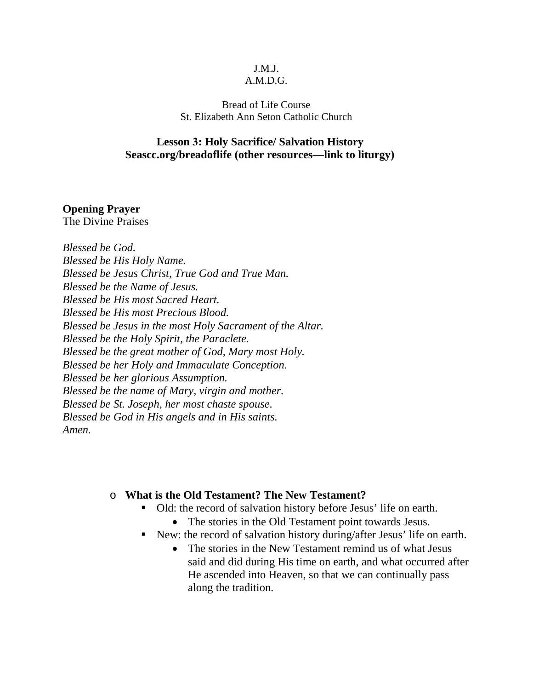## J.M.J.

#### A.M.D.G.

### Bread of Life Course St. Elizabeth Ann Seton Catholic Church

### **Lesson 3: Holy Sacrifice/ Salvation History Seascc.org/breadoflife (other resources—link to liturgy)**

### **Opening Prayer**

The Divine Praises

*Blessed be God. Blessed be His Holy Name. Blessed be Jesus Christ, True God and True Man. Blessed be the Name of Jesus. Blessed be His most Sacred Heart. Blessed be His most Precious Blood. Blessed be Jesus in the most Holy Sacrament of the Altar. Blessed be the Holy Spirit, the Paraclete. Blessed be the great mother of God, Mary most Holy. Blessed be her Holy and Immaculate Conception. Blessed be her glorious Assumption. Blessed be the name of Mary, virgin and mother. Blessed be St. Joseph, her most chaste spouse. Blessed be God in His angels and in His saints. Amen.* 

### o **What is the Old Testament? The New Testament?**

- Old: the record of salvation history before Jesus' life on earth.
	- The stories in the Old Testament point towards Jesus.
- New: the record of salvation history during/after Jesus' life on earth.
	- The stories in the New Testament remind us of what Jesus said and did during His time on earth, and what occurred after He ascended into Heaven, so that we can continually pass along the tradition.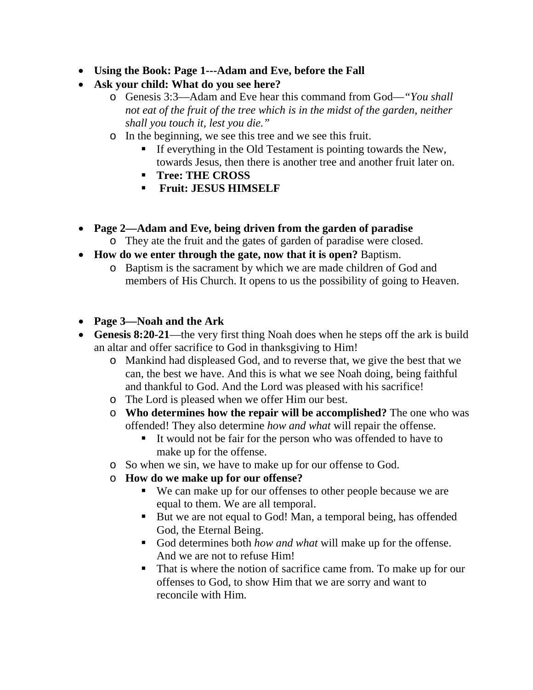- **Using the Book: Page 1---Adam and Eve, before the Fall**
- **Ask your child: What do you see here?** 
	- o Genesis 3:3—Adam and Eve hear this command from God—*"You shall not eat of the fruit of the tree which is in the midst of the garden, neither shall you touch it, lest you die."*
	- o In the beginning, we see this tree and we see this fruit.
		- If everything in the Old Testament is pointing towards the New, towards Jesus, then there is another tree and another fruit later on.
		- **Tree: THE CROSS**
		- **FRUITE: JESUS HIMSELF**
- **Page 2—Adam and Eve, being driven from the garden of paradise** o They ate the fruit and the gates of garden of paradise were closed.
- **How do we enter through the gate, now that it is open?** Baptism.
	- o Baptism is the sacrament by which we are made children of God and members of His Church. It opens to us the possibility of going to Heaven.
- **Page 3—Noah and the Ark**
- **Genesis 8:20-21**—the very first thing Noah does when he steps off the ark is build an altar and offer sacrifice to God in thanksgiving to Him!
	- o Mankind had displeased God, and to reverse that, we give the best that we can, the best we have. And this is what we see Noah doing, being faithful and thankful to God. And the Lord was pleased with his sacrifice!
	- o The Lord is pleased when we offer Him our best.
	- o **Who determines how the repair will be accomplished?** The one who was offended! They also determine *how and what* will repair the offense.
		- It would not be fair for the person who was offended to have to make up for the offense.
	- o So when we sin, we have to make up for our offense to God.
	- o **How do we make up for our offense?** 
		- We can make up for our offenses to other people because we are equal to them. We are all temporal.
		- But we are not equal to God! Man, a temporal being, has offended God, the Eternal Being.
		- God determines both *how and what* will make up for the offense. And we are not to refuse Him!
		- That is where the notion of sacrifice came from. To make up for our offenses to God, to show Him that we are sorry and want to reconcile with Him.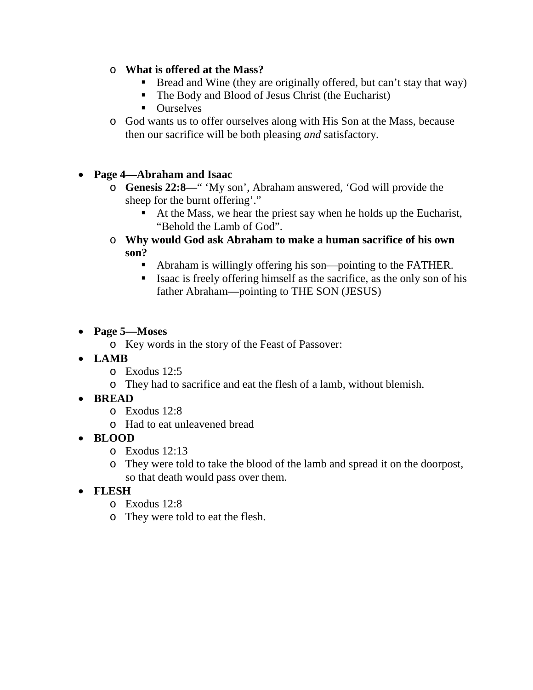# o **What is offered at the Mass?**

- Bread and Wine (they are originally offered, but can't stay that way)
- The Body and Blood of Jesus Christ (the Eucharist)
- Ourselves
- o God wants us to offer ourselves along with His Son at the Mass, because then our sacrifice will be both pleasing *and* satisfactory.

# • **Page 4—Abraham and Isaac**

- o **Genesis 22:8**—" 'My son', Abraham answered, 'God will provide the sheep for the burnt offering'."
	- At the Mass, we hear the priest say when he holds up the Eucharist, "Behold the Lamb of God".
- o **Why would God ask Abraham to make a human sacrifice of his own son?** 
	- Abraham is willingly offering his son—pointing to the FATHER.
	- Isaac is freely offering himself as the sacrifice, as the only son of his father Abraham—pointing to THE SON (JESUS)
- **Page 5—Moses**
	- o Key words in the story of the Feast of Passover:
- **LAMB**
	- o Exodus 12:5
	- o They had to sacrifice and eat the flesh of a lamb, without blemish.
- **BREAD**
	- o Exodus 12:8
	- o Had to eat unleavened bread
- **BLOOD**
	- o Exodus 12:13
	- o They were told to take the blood of the lamb and spread it on the doorpost, so that death would pass over them.
- **FLESH**
	- o Exodus 12:8
	- o They were told to eat the flesh.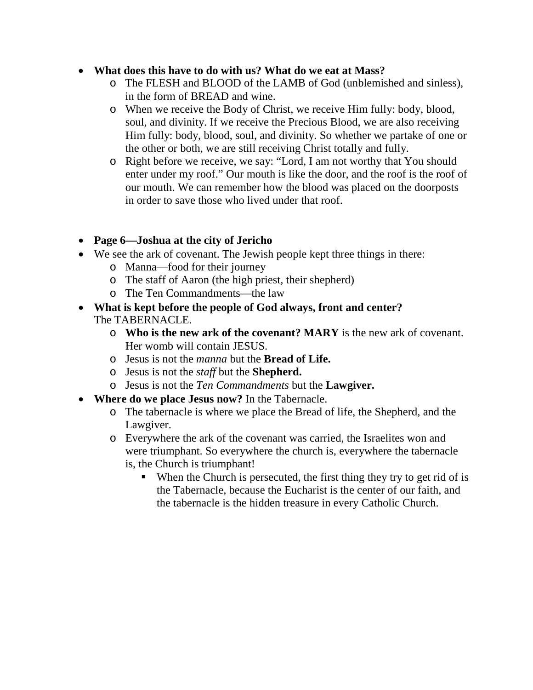# • **What does this have to do with us? What do we eat at Mass?**

- o The FLESH and BLOOD of the LAMB of God (unblemished and sinless), in the form of BREAD and wine.
- o When we receive the Body of Christ, we receive Him fully: body, blood, soul, and divinity. If we receive the Precious Blood, we are also receiving Him fully: body, blood, soul, and divinity. So whether we partake of one or the other or both, we are still receiving Christ totally and fully.
- o Right before we receive, we say: "Lord, I am not worthy that You should enter under my roof." Our mouth is like the door, and the roof is the roof of our mouth. We can remember how the blood was placed on the doorposts in order to save those who lived under that roof.
- **Page 6—Joshua at the city of Jericho**
- We see the ark of covenant. The Jewish people kept three things in there:
	- o Manna—food for their journey
	- o The staff of Aaron (the high priest, their shepherd)
	- o The Ten Commandments—the law
- **What is kept before the people of God always, front and center?**  The TABERNACLE.
	- o **Who is the new ark of the covenant? MARY** is the new ark of covenant. Her womb will contain JESUS.
	- o Jesus is not the *manna* but the **Bread of Life.**
	- o Jesus is not the *staff* but the **Shepherd.**
	- o Jesus is not the *Ten Commandments* but the **Lawgiver.**
- **Where do we place Jesus now?** In the Tabernacle.
	- o The tabernacle is where we place the Bread of life, the Shepherd, and the Lawgiver.
	- o Everywhere the ark of the covenant was carried, the Israelites won and were triumphant. So everywhere the church is, everywhere the tabernacle is, the Church is triumphant!
		- When the Church is persecuted, the first thing they try to get rid of is the Tabernacle, because the Eucharist is the center of our faith, and the tabernacle is the hidden treasure in every Catholic Church.